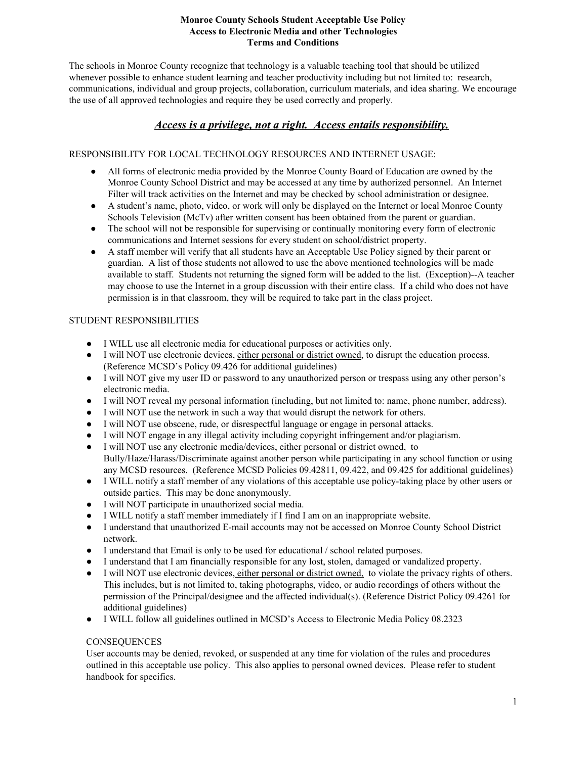### **Monroe County Schools Student Acceptable Use Policy Access to Electronic Media and other Technologies Terms and Conditions**

The schools in Monroe County recognize that technology is a valuable teaching tool that should be utilized whenever possible to enhance student learning and teacher productivity including but not limited to: research, communications, individual and group projects, collaboration, curriculum materials, and idea sharing. We encourage the use of all approved technologies and require they be used correctly and properly.

# *Access is a privilege, not a right. Access entails responsibility.*

# RESPONSIBILITY FOR LOCAL TECHNOLOGY RESOURCES AND INTERNET USAGE:

- All forms of electronic media provided by the Monroe County Board of Education are owned by the Monroe County School District and may be accessed at any time by authorized personnel. An Internet Filter will track activities on the Internet and may be checked by school administration or designee.
- A student's name, photo, video, or work will only be displayed on the Internet or local Monroe County Schools Television (McTv) after written consent has been obtained from the parent or guardian.
- The school will not be responsible for supervising or continually monitoring every form of electronic communications and Internet sessions for every student on school/district property.
- A staff member will verify that all students have an Acceptable Use Policy signed by their parent or guardian. A list of those students not allowed to use the above mentioned technologies will be made available to staff. Students not returning the signed form will be added to the list. (Exception)--A teacher may choose to use the Internet in a group discussion with their entire class. If a child who does not have permission is in that classroom, they will be required to take part in the class project.

# STUDENT RESPONSIBILITIES

- I WILL use all electronic media for educational purposes or activities only.
- I will NOT use electronic devices, either personal or district owned, to disrupt the education process. (Reference MCSD's Policy 09.426 for additional guidelines)
- I will NOT give my user ID or password to any unauthorized person or trespass using any other person's electronic media.
- I will NOT reveal my personal information (including, but not limited to: name, phone number, address).
- I will NOT use the network in such a way that would disrupt the network for others.
- I will NOT use obscene, rude, or disrespectful language or engage in personal attacks.
- I will NOT engage in any illegal activity including copyright infringement and/or plagiarism.
- I will NOT use any electronic media/devices, either personal or district owned, to Bully/Haze/Harass/Discriminate against another person while participating in any school function or using any MCSD resources. (Reference MCSD Policies 09.42811, 09.422, and 09.425 for additional guidelines)
- I WILL notify a staff member of any violations of this acceptable use policytaking place by other users or outside parties. This may be done anonymously.
- I will NOT participate in unauthorized social media.
- I WILL notify a staff member immediately if I find I am on an inappropriate website.
- I understand that unauthorized Email accounts may not be accessed on Monroe County School District network.
- I understand that Email is only to be used for educational / school related purposes.
- I understand that I am financially responsible for any lost, stolen, damaged or vandalized property.
- I will NOT use electronic devices, either personal or district owned, to violate the privacy rights of others. This includes, but is not limited to, taking photographs, video, or audio recordings of others without the permission of the Principal/designee and the affected individual(s). (Reference District Policy 09.4261 for additional guidelines)
- I WILL follow all guidelines outlined in MCSD's Access to Electronic Media Policy 08.2323

# **CONSEQUENCES**

User accounts may be denied, revoked, or suspended at any time for violation of the rules and procedures outlined in this acceptable use policy. This also applies to personal owned devices. Please refer to student handbook for specifics.